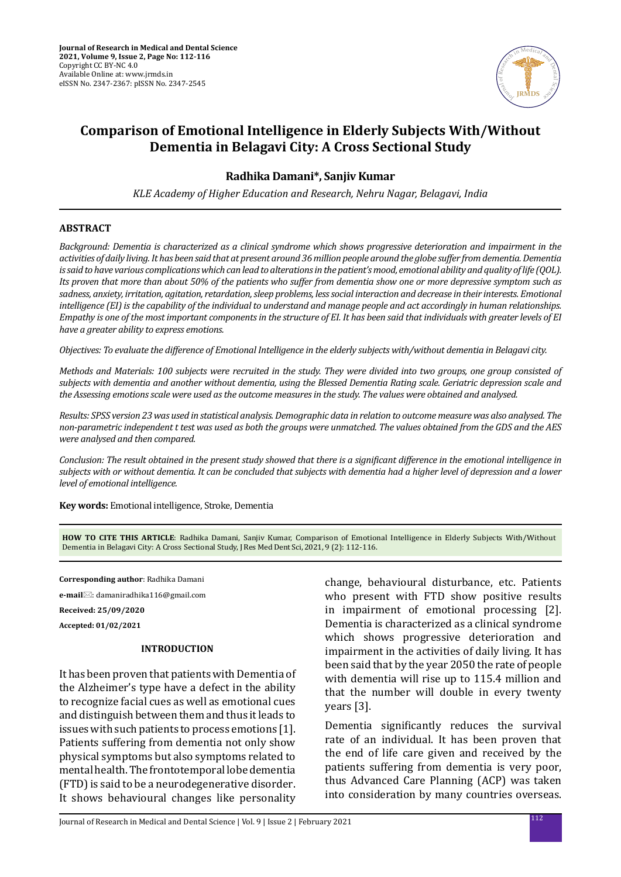

# **Comparison of Emotional Intelligence in Elderly Subjects With/Without Dementia in Belagavi City: A Cross Sectional Study**

# **Radhika Damani\*, Sanjiv Kumar**

*KLE Academy of Higher Education and Research, Nehru Nagar, Belagavi, India*

### **ABSTRACT**

*Background: Dementia is characterized as a clinical syndrome which shows progressive deterioration and impairment in the activities of daily living. It has been said that at present around 36 million people around the globe suffer from dementia. Dementia is said to have various complications which can lead to alterations in the patient's mood, emotional ability and quality of life (QOL). Its proven that more than about 50% of the patients who suffer from dementia show one or more depressive symptom such as sadness, anxiety, irritation, agitation, retardation, sleep problems, less social interaction and decrease in their interests. Emotional intelligence (EI) is the capability of the individual to understand and manage people and act accordingly in human relationships. Empathy is one of the most important components in the structure of EI. It has been said that individuals with greater levels of EI have a greater ability to express emotions.*

*Objectives: To evaluate the difference of Emotional Intelligence in the elderly subjects with/without dementia in Belagavi city.*

*Methods and Materials: 100 subjects were recruited in the study. They were divided into two groups, one group consisted of subjects with dementia and another without dementia, using the Blessed Dementia Rating scale. Geriatric depression scale and the Assessing emotions scale were used as the outcome measures in the study. The values were obtained and analysed.* 

*Results: SPSS version 23 was used in statistical analysis. Demographic data in relation to outcome measure was also analysed. The non-parametric independent t test was used as both the groups were unmatched. The values obtained from the GDS and the AES were analysed and then compared.*

*Conclusion: The result obtained in the present study showed that there is a significant difference in the emotional intelligence in subjects with or without dementia. It can be concluded that subjects with dementia had a higher level of depression and a lower level of emotional intelligence.*

**Key words:** Emotional intelligence, Stroke, Dementia

**HOW TO CITE THIS ARTICLE**: Radhika Damani, Sanjiv Kumar, Comparison of Emotional Intelligence in Elderly Subjects With/Without Dementia in Belagavi City: A Cross Sectional Study, J Res Med Dent Sci, 2021, 9 (2): 112-116.

**Corresponding author**: Radhika Damani

**e-mail**: damaniradhika116@gmail.com

**Received: 25/09/2020**

**Accepted: 01/02/2021**

### **INTRODUCTION**

It has been proven that patients with Dementia of the Alzheimer's type have a defect in the ability to recognize facial cues as well as emotional cues and distinguish between them and thus it leads to issues with such patients to process emotions [1]. Patients suffering from dementia not only show physical symptoms but also symptoms related to mental health. The frontotemporal lobe dementia (FTD) is said to be a neurodegenerative disorder. It shows behavioural changes like personality change, behavioural disturbance, etc. Patients who present with FTD show positive results in impairment of emotional processing [2]. Dementia is characterized as a clinical syndrome which shows progressive deterioration and impairment in the activities of daily living. It has been said that by the year 2050 the rate of people with dementia will rise up to 115.4 million and that the number will double in every twenty years [3].

Dementia significantly reduces the survival rate of an individual. It has been proven that the end of life care given and received by the patients suffering from dementia is very poor, thus Advanced Care Planning (ACP) was taken into consideration by many countries overseas.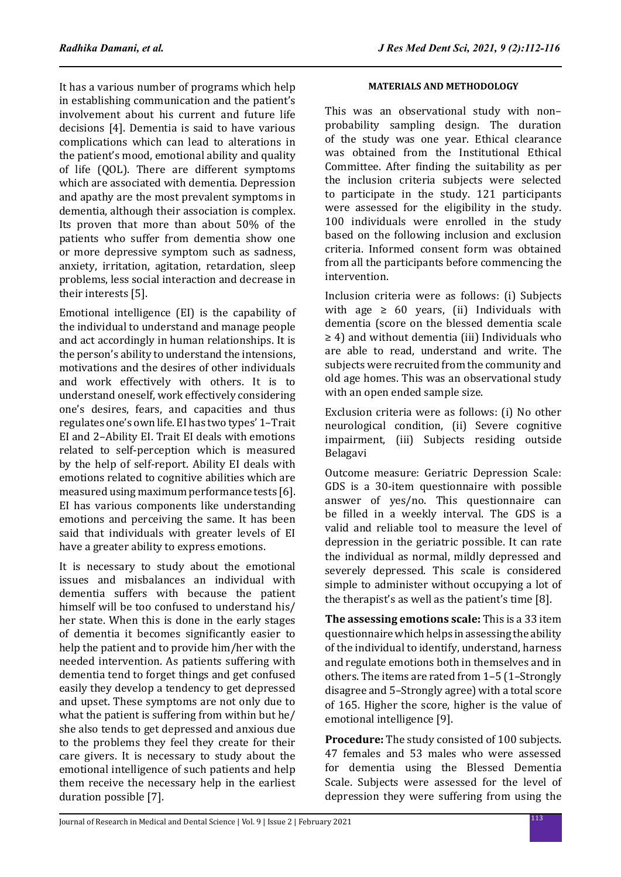It has a various number of programs which help in establishing communication and the patient's involvement about his current and future life decisions [4]. Dementia is said to have various complications which can lead to alterations in the patient's mood, emotional ability and quality of life (QOL). There are different symptoms which are associated with dementia. Depression and apathy are the most prevalent symptoms in dementia, although their association is complex. Its proven that more than about 50% of the patients who suffer from dementia show one or more depressive symptom such as sadness, anxiety, irritation, agitation, retardation, sleep problems, less social interaction and decrease in their interests [5].

Emotional intelligence (EI) is the capability of the individual to understand and manage people and act accordingly in human relationships. It is the person's ability to understand the intensions, motivations and the desires of other individuals and work effectively with others. It is to understand oneself, work effectively considering one's desires, fears, and capacities and thus regulates one's own life. EI has two types' 1–Trait EI and 2–Ability EI. Trait EI deals with emotions related to self-perception which is measured by the help of self-report. Ability EI deals with emotions related to cognitive abilities which are measured using maximum performance tests [6]. EI has various components like understanding emotions and perceiving the same. It has been said that individuals with greater levels of EI have a greater ability to express emotions.

It is necessary to study about the emotional issues and misbalances an individual with dementia suffers with because the patient himself will be too confused to understand his/ her state. When this is done in the early stages of dementia it becomes significantly easier to help the patient and to provide him/her with the needed intervention. As patients suffering with dementia tend to forget things and get confused easily they develop a tendency to get depressed and upset. These symptoms are not only due to what the patient is suffering from within but he/ she also tends to get depressed and anxious due to the problems they feel they create for their care givers. It is necessary to study about the emotional intelligence of such patients and help them receive the necessary help in the earliest duration possible [7].

## **MATERIALS AND METHODOLOGY**

This was an observational study with non– probability sampling design. The duration of the study was one year. Ethical clearance was obtained from the Institutional Ethical Committee. After finding the suitability as per the inclusion criteria subjects were selected to participate in the study. 121 participants were assessed for the eligibility in the study. 100 individuals were enrolled in the study based on the following inclusion and exclusion criteria. Informed consent form was obtained from all the participants before commencing the intervention.

Inclusion criteria were as follows: (i) Subjects with age  $\geq 60$  years, (ii) Individuals with dementia (score on the blessed dementia scale ≥ 4) and without dementia (iii) Individuals who are able to read, understand and write. The subjects were recruited from the community and old age homes. This was an observational study with an open ended sample size.

Exclusion criteria were as follows: (i) No other neurological condition, (ii) Severe cognitive impairment, (iii) Subjects residing outside Belagavi

Outcome measure: Geriatric Depression Scale: GDS is a 30-item questionnaire with possible answer of yes/no. This questionnaire can be filled in a weekly interval. The GDS is a valid and reliable tool to measure the level of depression in the geriatric possible. It can rate the individual as normal, mildly depressed and severely depressed. This scale is considered simple to administer without occupying a lot of the therapist's as well as the patient's time [8].

**The assessing emotions scale:** This is a 33 item questionnaire which helps in assessing the ability of the individual to identify, understand, harness and regulate emotions both in themselves and in others. The items are rated from 1–5 (1–Strongly disagree and 5–Strongly agree) with a total score of 165. Higher the score, higher is the value of emotional intelligence [9].

**Procedure:** The study consisted of 100 subjects. 47 females and 53 males who were assessed for dementia using the Blessed Dementia Scale. Subjects were assessed for the level of depression they were suffering from using the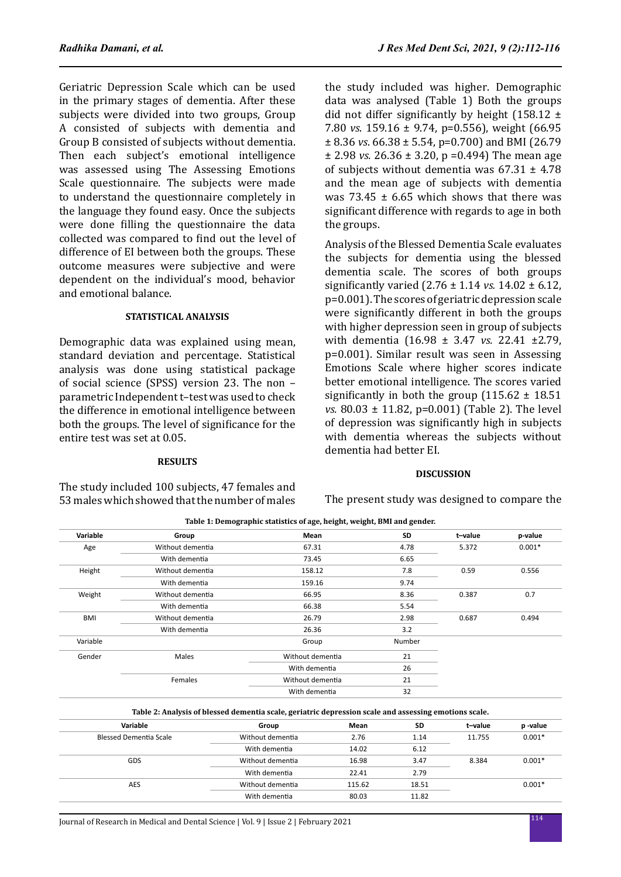Geriatric Depression Scale which can be used in the primary stages of dementia. After these subjects were divided into two groups, Group A consisted of subjects with dementia and Group B consisted of subjects without dementia. Then each subject's emotional intelligence was assessed using The Assessing Emotions Scale questionnaire. The subjects were made to understand the questionnaire completely in the language they found easy. Once the subjects were done filling the questionnaire the data collected was compared to find out the level of difference of EI between both the groups. These outcome measures were subjective and were dependent on the individual's mood, behavior and emotional balance.

## **STATISTICAL ANALYSIS**

Demographic data was explained using mean, standard deviation and percentage. Statistical analysis was done using statistical package of social science (SPSS) version 23. The non – parametric Independent t–test was used to check the difference in emotional intelligence between both the groups. The level of significance for the entire test was set at 0.05.

### **RESULTS**

The study included 100 subjects, 47 females and 53 males which showed that the number of males the study included was higher. Demographic data was analysed (Table 1) Both the groups did not differ significantly by height  $(158.12 \pm$ 7.80 *vs*. 159.16 ± 9.74, p=0.556), weight (66.95 ± 8.36 *vs*. 66.38 ± 5.54, p=0.700) and BMI (26.79 ± 2.98 *vs.* 26.36 ± 3.20, p =0.494) The mean age of subjects without dementia was  $67.31 \pm 4.78$ and the mean age of subjects with dementia was  $73.45 \pm 6.65$  which shows that there was significant difference with regards to age in both the groups.

Analysis of the Blessed Dementia Scale evaluates the subjects for dementia using the blessed dementia scale. The scores of both groups significantly varied (2.76 ± 1.14 *vs.* 14.02 ± 6.12, p=0.001). The scores of geriatric depression scale were significantly different in both the groups with higher depression seen in group of subjects with dementia (16.98 ± 3.47 *vs.* 22.41 ±2.79, p=0.001). Similar result was seen in Assessing Emotions Scale where higher scores indicate better emotional intelligence. The scores varied significantly in both the group  $(115.62 \pm 18.51)$ *vs.* 80.03 ± 11.82, p=0.001) (Table 2). The level of depression was significantly high in subjects with dementia whereas the subjects without dementia had better EI.

## **DISCUSSION**

The present study was designed to compare the

| Variable   | Group            | Mean             | <b>SD</b> | t-value | p-value  |
|------------|------------------|------------------|-----------|---------|----------|
| Age        | Without dementia | 67.31            | 4.78      | 5.372   | $0.001*$ |
|            | With dementia    | 73.45            | 6.65      |         |          |
| Height     | Without dementia | 158.12           | 7.8       | 0.59    | 0.556    |
|            | With dementia    | 159.16           | 9.74      |         |          |
| Weight     | Without dementia | 66.95            | 8.36      | 0.387   | 0.7      |
|            | With dementia    | 66.38            | 5.54      |         |          |
| <b>BMI</b> | Without dementia | 26.79            | 2.98      | 0.687   | 0.494    |
|            | With dementia    | 26.36            | 3.2       |         |          |
| Variable   |                  | Group            | Number    |         |          |
| Gender     | Males            | Without dementia | 21        |         |          |
|            |                  | With dementia    | 26        |         |          |
|            | Females          | Without dementia | 21        |         |          |
|            |                  | With dementia    | 32        |         |          |

**Table 1: Demographic statistics of age, height, weight, BMI and gender.**

**Table 2: Analysis of blessed dementia scale, geriatric depression scale and assessing emotions scale.**

| Variable               | Group            | Mean   | SD    | t-value | p -value |
|------------------------|------------------|--------|-------|---------|----------|
| Blessed Dementia Scale | Without dementia | 2.76   | 1.14  | 11.755  | $0.001*$ |
|                        | With dementia    | 14.02  | 6.12  |         |          |
| GDS                    | Without dementia | 16.98  | 3.47  | 8.384   | $0.001*$ |
|                        | With dementia    | 22.41  | 2.79  |         |          |
| <b>AES</b>             | Without dementia | 115.62 | 18.51 |         | $0.001*$ |
|                        | With dementia    | 80.03  | 11.82 |         |          |
|                        |                  |        |       |         |          |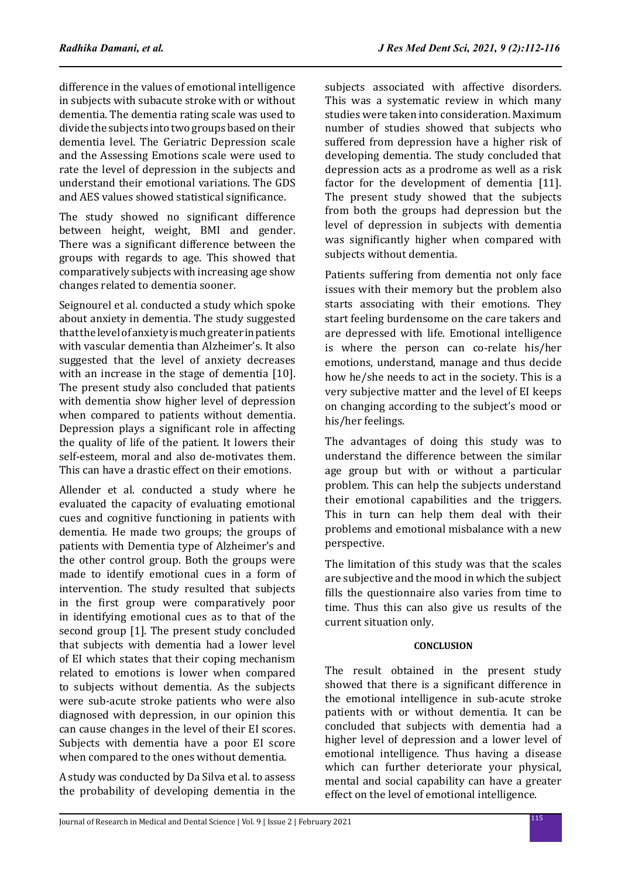difference in the values of emotional intelligence in subjects with subacute stroke with or without dementia. The dementia rating scale was used to divide the subjects into two groups based on their dementia level. The Geriatric Depression scale and the Assessing Emotions scale were used to rate the level of depression in the subjects and understand their emotional variations. The GDS and AES values showed statistical significance.

The study showed no significant difference between height, weight, BMI and gender. There was a significant difference between the groups with regards to age. This showed that comparatively subjects with increasing age show changes related to dementia sooner.

Seignourel et al. conducted a study which spoke about anxiety in dementia. The study suggested that the level of anxiety is much greater in patients with vascular dementia than Alzheimer's. It also suggested that the level of anxiety decreases with an increase in the stage of dementia [10]. The present study also concluded that patients with dementia show higher level of depression when compared to patients without dementia. Depression plays a significant role in affecting the quality of life of the patient. It lowers their self-esteem, moral and also de-motivates them. This can have a drastic effect on their emotions.

Allender et al. conducted a study where he evaluated the capacity of evaluating emotional cues and cognitive functioning in patients with dementia. He made two groups; the groups of patients with Dementia type of Alzheimer's and the other control group. Both the groups were made to identify emotional cues in a form of intervention. The study resulted that subjects in the first group were comparatively poor in identifying emotional cues as to that of the second group [1]. The present study concluded that subjects with dementia had a lower level of EI which states that their coping mechanism related to emotions is lower when compared to subjects without dementia. As the subjects were sub-acute stroke patients who were also diagnosed with depression, in our opinion this can cause changes in the level of their EI scores. Subjects with dementia have a poor EI score when compared to the ones without dementia.

A study was conducted by Da Silva et al. to assess the probability of developing dementia in the subjects associated with affective disorders. This was a systematic review in which many studies were taken into consideration. Maximum number of studies showed that subjects who suffered from depression have a higher risk of developing dementia. The study concluded that depression acts as a prodrome as well as a risk factor for the development of dementia [11]. The present study showed that the subjects from both the groups had depression but the level of depression in subjects with dementia was significantly higher when compared with subjects without dementia.

Patients suffering from dementia not only face issues with their memory but the problem also starts associating with their emotions. They start feeling burdensome on the care takers and are depressed with life. Emotional intelligence is where the person can co-relate his/her emotions, understand, manage and thus decide how he/she needs to act in the society. This is a very subjective matter and the level of EI keeps on changing according to the subject's mood or his/her feelings.

The advantages of doing this study was to understand the difference between the similar age group but with or without a particular problem. This can help the subjects understand their emotional capabilities and the triggers. This in turn can help them deal with their problems and emotional misbalance with a new perspective.

The limitation of this study was that the scales are subjective and the mood in which the subject fills the questionnaire also varies from time to time. Thus this can also give us results of the current situation only.

# **CONCLUSION**

The result obtained in the present study showed that there is a significant difference in the emotional intelligence in sub-acute stroke patients with or without dementia. It can be concluded that subjects with dementia had a higher level of depression and a lower level of emotional intelligence. Thus having a disease which can further deteriorate your physical, mental and social capability can have a greater effect on the level of emotional intelligence.